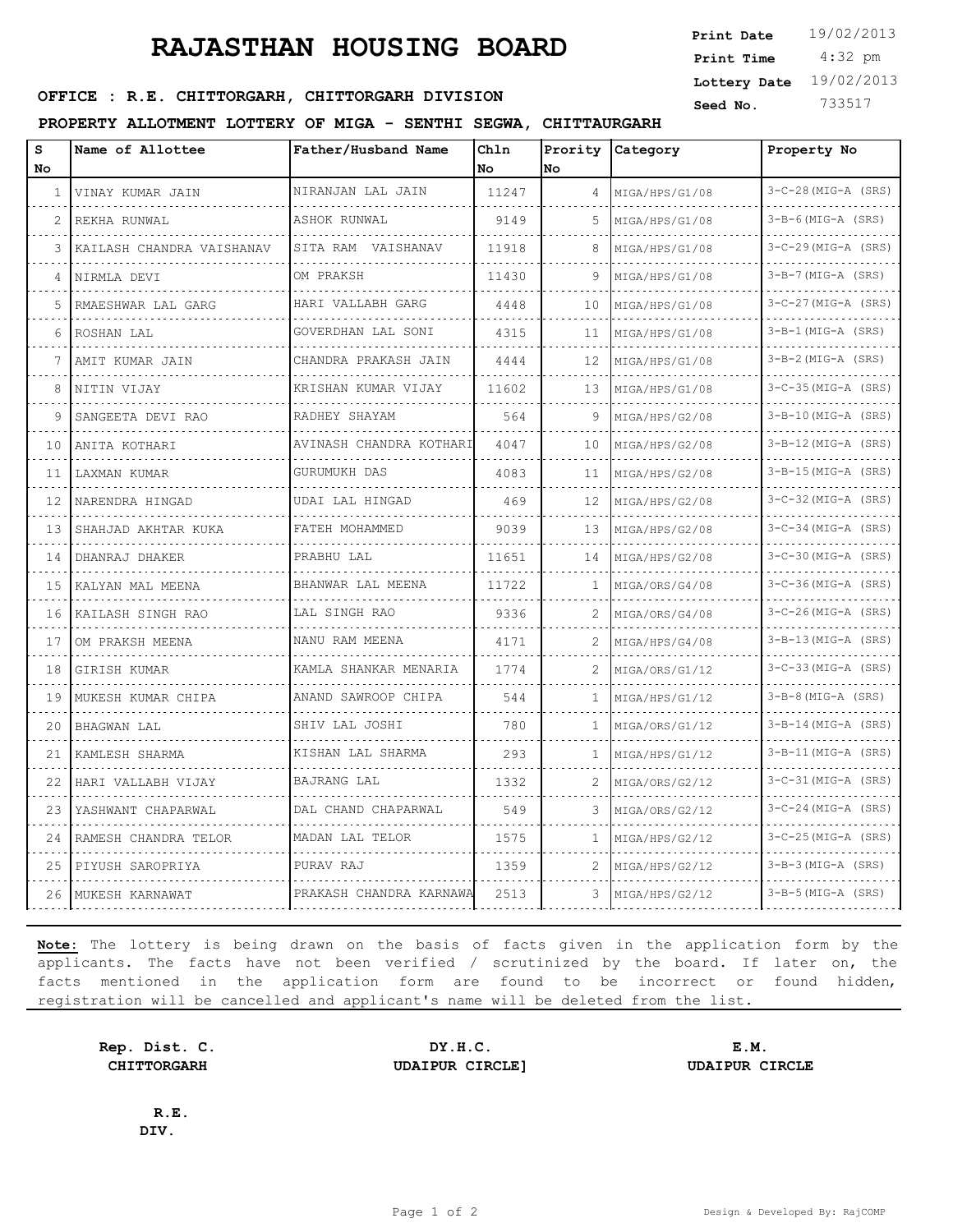## **RAJASTHAN HOUSING BOARD**

**SERICE : R.E. CHITTORGARH, CHITTORGARH DIVISION** Seed No. 733517

**PROPERTY ALLOTMENT LOTTERY OF MIGA - SENTHI SEGWA, CHITTAURGARH**

| s<br>No | Name of Allottee          | Father/Husband Name     | Chln<br>No | Prority<br>No     | Category       | Property No           |
|---------|---------------------------|-------------------------|------------|-------------------|----------------|-----------------------|
| 1       | VINAY KUMAR JAIN          | NIRANJAN LAL JAIN       | 11247      | 4                 | MIGA/HPS/G1/08 | $3-C-28(MIG-A (SRS))$ |
| 2       | REKHA RUNWAL              | ASHOK RUNWAL            | 9149       | 5                 | MIGA/HPS/G1/08 | $3-B-6$ (MIG-A (SRS)  |
| 3       | KAILASH CHANDRA VAISHANAV | SITA RAM VAISHANAV      | 11918      | 8                 | MIGA/HPS/G1/08 | $3-C-29$ (MIG-A (SRS) |
| 4       | NIRMLA DEVI               | OM PRAKSH               | 11430      | 9                 | MIGA/HPS/G1/08 | $3-B-7$ (MIG-A (SRS)  |
|         |                           |                         |            |                   |                |                       |
| 5       | RMAESHWAR LAL GARG        | HARI VALLABH GARG       | 4448       | 10                | MIGA/HPS/G1/08 | $3-C-27$ (MIG-A (SRS) |
| 6       | ROSHAN LAL                | GOVERDHAN LAL SONI      | 4315       | 11                | MIGA/HPS/G1/08 | $3-B-1$ (MIG-A (SRS)  |
|         | AMIT KUMAR JAIN           | CHANDRA PRAKASH JAIN    | 4444       | $12 \overline{ }$ | MIGA/HPS/G1/08 | $3-B-2$ (MIG-A (SRS)  |
| 8       | NITIN VIJAY               | KRISHAN KUMAR VIJAY     | 11602      | 13                | MIGA/HPS/G1/08 | $3-C-35$ (MIG-A (SRS) |
| 9       | SANGEETA DEVI RAO         | RADHEY SHAYAM           | 564        | 9                 | MIGA/HPS/G2/08 | $3-B-10(MIG-A (SRS))$ |
| 10      | ANITA KOTHARI             | AVINASH CHANDRA KOTHARI | 4047       | 10                | MIGA/HPS/G2/08 | $3-B-12(MIG-A (SRS))$ |
| 11      | LAXMAN KUMAR              | GURUMUKH DAS            | 4083       | 11                | MIGA/HPS/G2/08 | $3-B-15(MIG-A (SRS))$ |
| 12      | NARENDRA HINGAD           | UDAI LAL HINGAD         | 469        | 12                | MIGA/HPS/G2/08 | $3-C-32$ (MIG-A (SRS) |
| 13      | SHAHJAD AKHTAR KUKA       | FATEH MOHAMMED          | 9039       | 13                | MIGA/HPS/G2/08 | $3-C-34$ (MIG-A (SRS) |
| 14      | DHANRAJ DHAKER            | PRABHU LAL              | 11651      | 14                | MIGA/HPS/G2/08 | $3-C-30$ (MIG-A (SRS) |
| 15      | KALYAN MAL MEENA          | BHANWAR LAL MEENA       | 11722      | 1                 | MIGA/ORS/G4/08 | $3-C-36$ (MIG-A (SRS) |
| 16      | KAILASH SINGH RAO         | LAL SINGH RAO           | 9336       | 2                 | MIGA/ORS/G4/08 | $3-C-26$ (MIG-A (SRS) |
| 17      | OM PRAKSH MEENA           | NANU RAM MEENA          | 4171       | 2                 | MIGA/HPS/G4/08 | $3-B-13(MIG-A (SRS))$ |
| 18      | GIRISH KUMAR              | KAMLA SHANKAR MENARIA   | 1774       | 2                 | MIGA/ORS/G1/12 | $3-C-33$ (MIG-A (SRS) |
| 19      | MUKESH KUMAR CHIPA        | ANAND SAWROOP CHIPA     | 544        | 1                 | MIGA/HPS/G1/12 | $3-B-8(MIG-A (SRS))$  |
| 20      | <b>BHAGWAN LAL</b>        | SHIV LAL JOSHI          | 780        | 1                 | MIGA/ORS/G1/12 | $3-B-14$ (MIG-A (SRS) |
| 21      | KAMLESH SHARMA            | KISHAN LAL SHARMA       | 293        | 1                 | MIGA/HPS/G1/12 | $3-B-11$ (MIG-A (SRS) |
| 22      | HARI VALLABH VIJAY        | BAJRANG LAL             | 1332       | 2                 | MIGA/ORS/G2/12 | $3-C-31$ (MIG-A (SRS) |
| 23      | YASHWANT CHAPARWAL        | DAL CHAND CHAPARWAL     | 549        | 3                 | MIGA/ORS/G2/12 | $3-C-24$ (MIG-A (SRS) |
| 24      | RAMESH CHANDRA TELOR      | MADAN LAL TELOR         | 1575       | 1                 | MIGA/HPS/G2/12 | $3-C-25$ (MIG-A (SRS) |
| 25      | PIYUSH SAROPRIYA          | PURAV RAJ               | 1359       | 2                 | MIGA/HPS/G2/12 | $3-B-3(MIG-A (SRS))$  |
| 26      | MUKESH KARNAWAT           | PRAKASH CHANDRA KARNAWA | 2513       | 3                 | MIGA/HPS/G2/12 | $3-B-5$ (MIG-A (SRS)  |

**Note:** The lottery is being drawn on the basis of facts given in the application form by the applicants. The facts have not been verified / scrutinized by the board. If later on, the facts mentioned in the application form are found to be incorrect or found hidden, registration will be cancelled and applicant's name will be deleted from the list.

**Rep. Dist. C. DY.H.C. E.M. CHITTORGARH UDAIPUR CIRCLE] UDAIPUR CIRCLE**

**R.E. DIV.**

 4:32 pm **Print Date**  $19/02/2013$ **Print Time Lottery Date** 19/02/2013